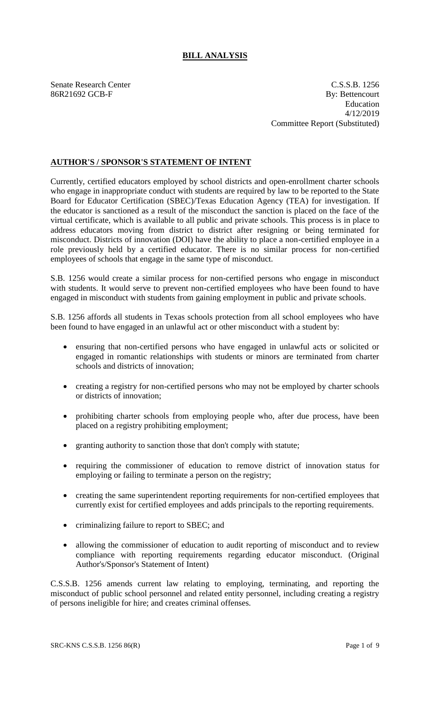# **BILL ANALYSIS**

Senate Research Center C.S.S.B. 1256 86R21692 GCB-F By: Bettencourt Education 4/12/2019 Committee Report (Substituted)

### **AUTHOR'S / SPONSOR'S STATEMENT OF INTENT**

Currently, certified educators employed by school districts and open-enrollment charter schools who engage in inappropriate conduct with students are required by law to be reported to the State Board for Educator Certification (SBEC)/Texas Education Agency (TEA) for investigation. If the educator is sanctioned as a result of the misconduct the sanction is placed on the face of the virtual certificate, which is available to all public and private schools. This process is in place to address educators moving from district to district after resigning or being terminated for misconduct. Districts of innovation (DOI) have the ability to place a non-certified employee in a role previously held by a certified educator. There is no similar process for non-certified employees of schools that engage in the same type of misconduct.

S.B. 1256 would create a similar process for non-certified persons who engage in misconduct with students. It would serve to prevent non-certified employees who have been found to have engaged in misconduct with students from gaining employment in public and private schools.

S.B. 1256 affords all students in Texas schools protection from all school employees who have been found to have engaged in an unlawful act or other misconduct with a student by:

- ensuring that non-certified persons who have engaged in unlawful acts or solicited or engaged in romantic relationships with students or minors are terminated from charter schools and districts of innovation;
- creating a registry for non-certified persons who may not be employed by charter schools or districts of innovation;
- prohibiting charter schools from employing people who, after due process, have been placed on a registry prohibiting employment;
- granting authority to sanction those that don't comply with statute;
- requiring the commissioner of education to remove district of innovation status for employing or failing to terminate a person on the registry;
- creating the same superintendent reporting requirements for non-certified employees that currently exist for certified employees and adds principals to the reporting requirements.
- criminalizing failure to report to SBEC; and
- allowing the commissioner of education to audit reporting of misconduct and to review compliance with reporting requirements regarding educator misconduct. (Original Author's/Sponsor's Statement of Intent)

C.S.S.B. 1256 amends current law relating to employing, terminating, and reporting the misconduct of public school personnel and related entity personnel, including creating a registry of persons ineligible for hire; and creates criminal offenses.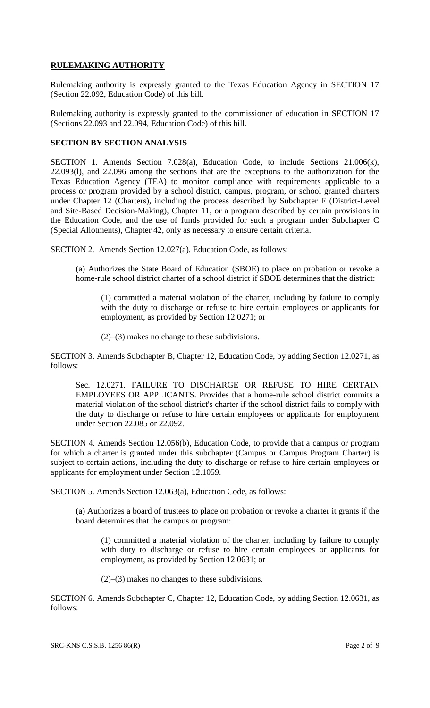# **RULEMAKING AUTHORITY**

Rulemaking authority is expressly granted to the Texas Education Agency in SECTION 17 (Section 22.092, Education Code) of this bill.

Rulemaking authority is expressly granted to the commissioner of education in SECTION 17 (Sections 22.093 and 22.094, Education Code) of this bill.

### **SECTION BY SECTION ANALYSIS**

SECTION 1. Amends Section 7.028(a), Education Code, to include Sections 21.006(k), 22.093(l), and 22.096 among the sections that are the exceptions to the authorization for the Texas Education Agency (TEA) to monitor compliance with requirements applicable to a process or program provided by a school district, campus, program, or school granted charters under Chapter 12 (Charters), including the process described by Subchapter F (District-Level and Site-Based Decision-Making), Chapter 11, or a program described by certain provisions in the Education Code, and the use of funds provided for such a program under Subchapter C (Special Allotments), Chapter 42, only as necessary to ensure certain criteria.

SECTION 2. Amends Section 12.027(a), Education Code, as follows:

(a) Authorizes the State Board of Education (SBOE) to place on probation or revoke a home-rule school district charter of a school district if SBOE determines that the district:

(1) committed a material violation of the charter, including by failure to comply with the duty to discharge or refuse to hire certain employees or applicants for employment, as provided by Section 12.0271; or

(2)–(3) makes no change to these subdivisions.

SECTION 3. Amends Subchapter B, Chapter 12, Education Code, by adding Section 12.0271, as follows:

Sec. 12.0271. FAILURE TO DISCHARGE OR REFUSE TO HIRE CERTAIN EMPLOYEES OR APPLICANTS. Provides that a home-rule school district commits a material violation of the school district's charter if the school district fails to comply with the duty to discharge or refuse to hire certain employees or applicants for employment under Section 22.085 or 22.092.

SECTION 4. Amends Section 12.056(b), Education Code, to provide that a campus or program for which a charter is granted under this subchapter (Campus or Campus Program Charter) is subject to certain actions, including the duty to discharge or refuse to hire certain employees or applicants for employment under Section 12.1059.

SECTION 5. Amends Section 12.063(a), Education Code, as follows:

(a) Authorizes a board of trustees to place on probation or revoke a charter it grants if the board determines that the campus or program:

(1) committed a material violation of the charter, including by failure to comply with duty to discharge or refuse to hire certain employees or applicants for employment, as provided by Section 12.0631; or

(2)–(3) makes no changes to these subdivisions.

SECTION 6. Amends Subchapter C, Chapter 12, Education Code, by adding Section 12.0631, as follows: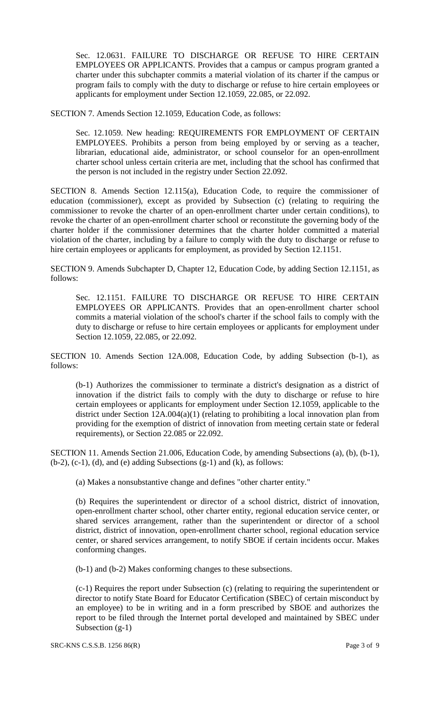Sec. 12.0631. FAILURE TO DISCHARGE OR REFUSE TO HIRE CERTAIN EMPLOYEES OR APPLICANTS. Provides that a campus or campus program granted a charter under this subchapter commits a material violation of its charter if the campus or program fails to comply with the duty to discharge or refuse to hire certain employees or applicants for employment under Section 12.1059, 22.085, or 22.092.

SECTION 7. Amends Section 12.1059, Education Code, as follows:

Sec. 12.1059. New heading: REQUIREMENTS FOR EMPLOYMENT OF CERTAIN EMPLOYEES. Prohibits a person from being employed by or serving as a teacher, librarian, educational aide, administrator, or school counselor for an open-enrollment charter school unless certain criteria are met, including that the school has confirmed that the person is not included in the registry under Section 22.092.

SECTION 8. Amends Section 12.115(a), Education Code, to require the commissioner of education (commissioner), except as provided by Subsection (c) (relating to requiring the commissioner to revoke the charter of an open-enrollment charter under certain conditions), to revoke the charter of an open-enrollment charter school or reconstitute the governing body of the charter holder if the commissioner determines that the charter holder committed a material violation of the charter, including by a failure to comply with the duty to discharge or refuse to hire certain employees or applicants for employment, as provided by Section 12.1151.

SECTION 9. Amends Subchapter D, Chapter 12, Education Code, by adding Section 12.1151, as follows:

Sec. 12.1151. FAILURE TO DISCHARGE OR REFUSE TO HIRE CERTAIN EMPLOYEES OR APPLICANTS. Provides that an open-enrollment charter school commits a material violation of the school's charter if the school fails to comply with the duty to discharge or refuse to hire certain employees or applicants for employment under Section 12.1059, 22.085, or 22.092.

SECTION 10. Amends Section 12A.008, Education Code, by adding Subsection (b-1), as follows:

(b-1) Authorizes the commissioner to terminate a district's designation as a district of innovation if the district fails to comply with the duty to discharge or refuse to hire certain employees or applicants for employment under Section 12.1059, applicable to the district under Section 12A.004(a)(1) (relating to prohibiting a local innovation plan from providing for the exemption of district of innovation from meeting certain state or federal requirements), or Section 22.085 or 22.092.

SECTION 11. Amends Section 21.006, Education Code, by amending Subsections (a), (b), (b-1),  $(b-2)$ ,  $(c-1)$ ,  $(d)$ , and  $(e)$  adding Subsections  $(g-1)$  and  $(k)$ , as follows:

(a) Makes a nonsubstantive change and defines "other charter entity."

(b) Requires the superintendent or director of a school district, district of innovation, open-enrollment charter school, other charter entity, regional education service center, or shared services arrangement, rather than the superintendent or director of a school district, district of innovation, open-enrollment charter school, regional education service center, or shared services arrangement, to notify SBOE if certain incidents occur. Makes conforming changes.

(b-1) and (b-2) Makes conforming changes to these subsections.

(c-1) Requires the report under Subsection (c) (relating to requiring the superintendent or director to notify State Board for Educator Certification (SBEC) of certain misconduct by an employee) to be in writing and in a form prescribed by SBOE and authorizes the report to be filed through the Internet portal developed and maintained by SBEC under Subsection  $(g-1)$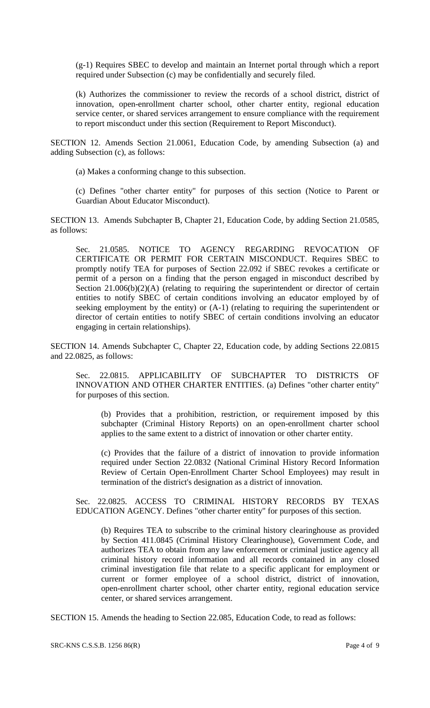(g-1) Requires SBEC to develop and maintain an Internet portal through which a report required under Subsection (c) may be confidentially and securely filed.

(k) Authorizes the commissioner to review the records of a school district, district of innovation, open-enrollment charter school, other charter entity, regional education service center, or shared services arrangement to ensure compliance with the requirement to report misconduct under this section (Requirement to Report Misconduct).

SECTION 12. Amends Section 21.0061, Education Code, by amending Subsection (a) and adding Subsection (c), as follows:

(a) Makes a conforming change to this subsection.

(c) Defines "other charter entity" for purposes of this section (Notice to Parent or Guardian About Educator Misconduct).

SECTION 13. Amends Subchapter B, Chapter 21, Education Code, by adding Section 21.0585, as follows:

Sec. 21.0585. NOTICE TO AGENCY REGARDING REVOCATION OF CERTIFICATE OR PERMIT FOR CERTAIN MISCONDUCT. Requires SBEC to promptly notify TEA for purposes of Section 22.092 if SBEC revokes a certificate or permit of a person on a finding that the person engaged in misconduct described by Section  $21.006(b)(2)(A)$  (relating to requiring the superintendent or director of certain entities to notify SBEC of certain conditions involving an educator employed by of seeking employment by the entity) or (A-1) (relating to requiring the superintendent or director of certain entities to notify SBEC of certain conditions involving an educator engaging in certain relationships).

SECTION 14. Amends Subchapter C, Chapter 22, Education code, by adding Sections 22.0815 and 22.0825, as follows:

Sec. 22.0815. APPLICABILITY OF SUBCHAPTER TO DISTRICTS OF INNOVATION AND OTHER CHARTER ENTITIES. (a) Defines "other charter entity" for purposes of this section.

(b) Provides that a prohibition, restriction, or requirement imposed by this subchapter (Criminal History Reports) on an open-enrollment charter school applies to the same extent to a district of innovation or other charter entity.

(c) Provides that the failure of a district of innovation to provide information required under Section 22.0832 (National Criminal History Record Information Review of Certain Open-Enrollment Charter School Employees) may result in termination of the district's designation as a district of innovation.

Sec. 22.0825. ACCESS TO CRIMINAL HISTORY RECORDS BY TEXAS EDUCATION AGENCY. Defines "other charter entity" for purposes of this section.

(b) Requires TEA to subscribe to the criminal history clearinghouse as provided by Section 411.0845 (Criminal History Clearinghouse), Government Code, and authorizes TEA to obtain from any law enforcement or criminal justice agency all criminal history record information and all records contained in any closed criminal investigation file that relate to a specific applicant for employment or current or former employee of a school district, district of innovation, open-enrollment charter school, other charter entity, regional education service center, or shared services arrangement.

SECTION 15. Amends the heading to Section 22.085, Education Code, to read as follows: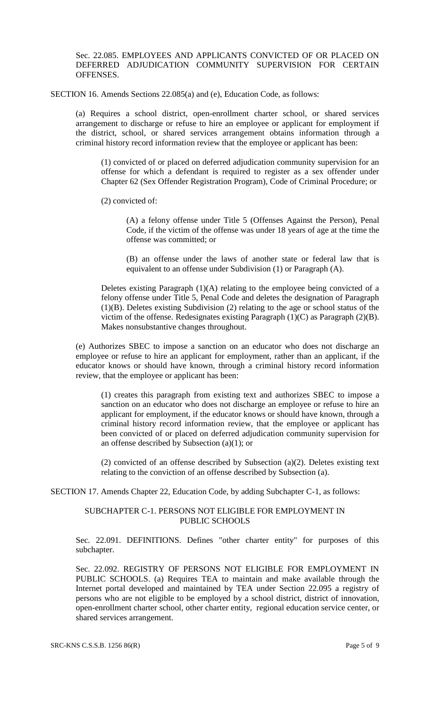Sec. 22.085. EMPLOYEES AND APPLICANTS CONVICTED OF OR PLACED ON DEFERRED ADJUDICATION COMMUNITY SUPERVISION FOR CERTAIN OFFENSES.

SECTION 16. Amends Sections 22.085(a) and (e), Education Code, as follows:

(a) Requires a school district, open-enrollment charter school, or shared services arrangement to discharge or refuse to hire an employee or applicant for employment if the district, school, or shared services arrangement obtains information through a criminal history record information review that the employee or applicant has been:

(1) convicted of or placed on deferred adjudication community supervision for an offense for which a defendant is required to register as a sex offender under Chapter 62 (Sex Offender Registration Program), Code of Criminal Procedure; or

(2) convicted of:

(A) a felony offense under Title 5 (Offenses Against the Person), Penal Code, if the victim of the offense was under 18 years of age at the time the offense was committed; or

(B) an offense under the laws of another state or federal law that is equivalent to an offense under Subdivision (1) or Paragraph (A).

Deletes existing Paragraph (1)(A) relating to the employee being convicted of a felony offense under Title 5, Penal Code and deletes the designation of Paragraph (1)(B). Deletes existing Subdivision (2) relating to the age or school status of the victim of the offense. Redesignates existing Paragraph (1)(C) as Paragraph (2)(B). Makes nonsubstantive changes throughout.

(e) Authorizes SBEC to impose a sanction on an educator who does not discharge an employee or refuse to hire an applicant for employment, rather than an applicant, if the educator knows or should have known, through a criminal history record information review, that the employee or applicant has been:

(1) creates this paragraph from existing text and authorizes SBEC to impose a sanction on an educator who does not discharge an employee or refuse to hire an applicant for employment, if the educator knows or should have known, through a criminal history record information review, that the employee or applicant has been convicted of or placed on deferred adjudication community supervision for an offense described by Subsection (a)(1); or

(2) convicted of an offense described by Subsection (a)(2). Deletes existing text relating to the conviction of an offense described by Subsection (a).

SECTION 17. Amends Chapter 22, Education Code, by adding Subchapter C-1, as follows:

### SUBCHAPTER C-1. PERSONS NOT ELIGIBLE FOR EMPLOYMENT IN PUBLIC SCHOOLS

Sec. 22.091. DEFINITIONS. Defines "other charter entity" for purposes of this subchapter.

Sec. 22.092. REGISTRY OF PERSONS NOT ELIGIBLE FOR EMPLOYMENT IN PUBLIC SCHOOLS. (a) Requires TEA to maintain and make available through the Internet portal developed and maintained by TEA under Section 22.095 a registry of persons who are not eligible to be employed by a school district, district of innovation, open-enrollment charter school, other charter entity, regional education service center, or shared services arrangement.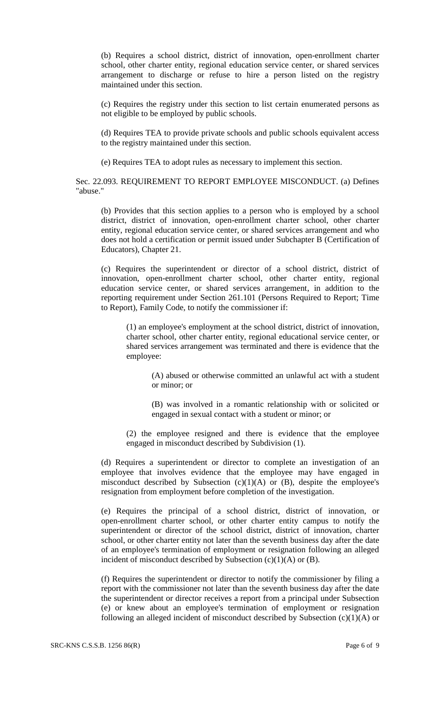(b) Requires a school district, district of innovation, open-enrollment charter school, other charter entity, regional education service center, or shared services arrangement to discharge or refuse to hire a person listed on the registry maintained under this section.

(c) Requires the registry under this section to list certain enumerated persons as not eligible to be employed by public schools.

(d) Requires TEA to provide private schools and public schools equivalent access to the registry maintained under this section.

(e) Requires TEA to adopt rules as necessary to implement this section.

Sec. 22.093. REQUIREMENT TO REPORT EMPLOYEE MISCONDUCT. (a) Defines "abuse."

(b) Provides that this section applies to a person who is employed by a school district, district of innovation, open-enrollment charter school, other charter entity, regional education service center, or shared services arrangement and who does not hold a certification or permit issued under Subchapter B (Certification of Educators), Chapter 21.

(c) Requires the superintendent or director of a school district, district of innovation, open-enrollment charter school, other charter entity, regional education service center, or shared services arrangement, in addition to the reporting requirement under Section 261.101 (Persons Required to Report; Time to Report), Family Code, to notify the commissioner if:

(1) an employee's employment at the school district, district of innovation, charter school, other charter entity, regional educational service center, or shared services arrangement was terminated and there is evidence that the employee:

(A) abused or otherwise committed an unlawful act with a student or minor; or

(B) was involved in a romantic relationship with or solicited or engaged in sexual contact with a student or minor; or

(2) the employee resigned and there is evidence that the employee engaged in misconduct described by Subdivision (1).

(d) Requires a superintendent or director to complete an investigation of an employee that involves evidence that the employee may have engaged in misconduct described by Subsection  $(c)(1)(A)$  or  $(B)$ , despite the employee's resignation from employment before completion of the investigation.

(e) Requires the principal of a school district, district of innovation, or open-enrollment charter school, or other charter entity campus to notify the superintendent or director of the school district, district of innovation, charter school, or other charter entity not later than the seventh business day after the date of an employee's termination of employment or resignation following an alleged incident of misconduct described by Subsection  $(c)(1)(A)$  or  $(B)$ .

(f) Requires the superintendent or director to notify the commissioner by filing a report with the commissioner not later than the seventh business day after the date the superintendent or director receives a report from a principal under Subsection (e) or knew about an employee's termination of employment or resignation following an alleged incident of misconduct described by Subsection  $(c)(1)(A)$  or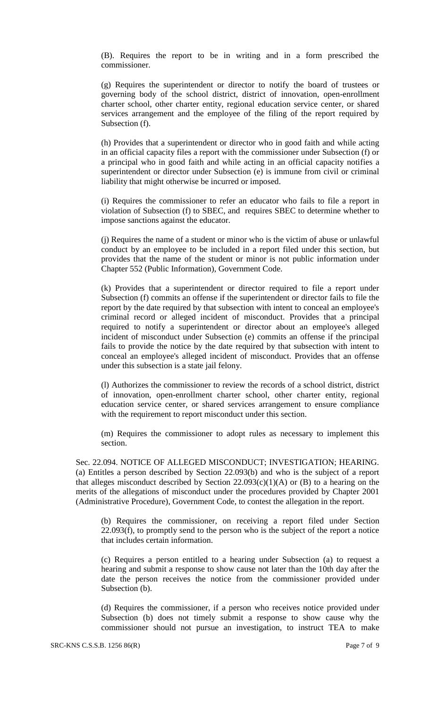(B). Requires the report to be in writing and in a form prescribed the commissioner.

(g) Requires the superintendent or director to notify the board of trustees or governing body of the school district, district of innovation, open-enrollment charter school, other charter entity, regional education service center, or shared services arrangement and the employee of the filing of the report required by Subsection (f).

(h) Provides that a superintendent or director who in good faith and while acting in an official capacity files a report with the commissioner under Subsection (f) or a principal who in good faith and while acting in an official capacity notifies a superintendent or director under Subsection (e) is immune from civil or criminal liability that might otherwise be incurred or imposed.

(i) Requires the commissioner to refer an educator who fails to file a report in violation of Subsection (f) to SBEC, and requires SBEC to determine whether to impose sanctions against the educator.

(j) Requires the name of a student or minor who is the victim of abuse or unlawful conduct by an employee to be included in a report filed under this section, but provides that the name of the student or minor is not public information under Chapter 552 (Public Information), Government Code.

(k) Provides that a superintendent or director required to file a report under Subsection (f) commits an offense if the superintendent or director fails to file the report by the date required by that subsection with intent to conceal an employee's criminal record or alleged incident of misconduct. Provides that a principal required to notify a superintendent or director about an employee's alleged incident of misconduct under Subsection (e) commits an offense if the principal fails to provide the notice by the date required by that subsection with intent to conceal an employee's alleged incident of misconduct. Provides that an offense under this subsection is a state jail felony.

(l) Authorizes the commissioner to review the records of a school district, district of innovation, open-enrollment charter school, other charter entity, regional education service center, or shared services arrangement to ensure compliance with the requirement to report misconduct under this section.

(m) Requires the commissioner to adopt rules as necessary to implement this section.

Sec. 22.094. NOTICE OF ALLEGED MISCONDUCT; INVESTIGATION; HEARING. (a) Entitles a person described by Section 22.093(b) and who is the subject of a report that alleges misconduct described by Section  $22.093(c)(1)(A)$  or (B) to a hearing on the merits of the allegations of misconduct under the procedures provided by Chapter 2001 (Administrative Procedure), Government Code, to contest the allegation in the report.

(b) Requires the commissioner, on receiving a report filed under Section 22.093(f), to promptly send to the person who is the subject of the report a notice that includes certain information.

(c) Requires a person entitled to a hearing under Subsection (a) to request a hearing and submit a response to show cause not later than the 10th day after the date the person receives the notice from the commissioner provided under Subsection (b).

(d) Requires the commissioner, if a person who receives notice provided under Subsection (b) does not timely submit a response to show cause why the commissioner should not pursue an investigation, to instruct TEA to make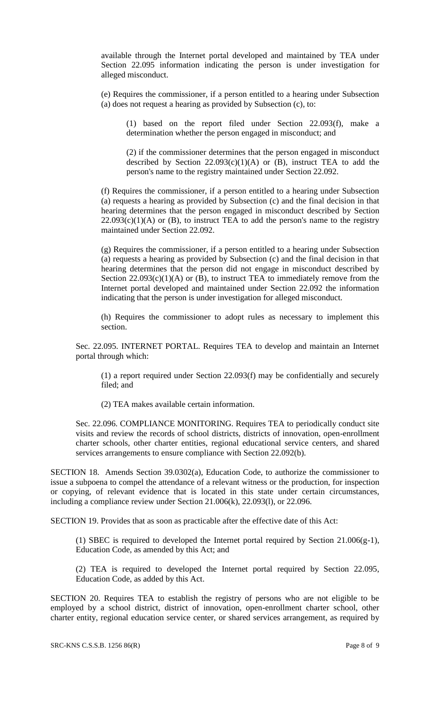available through the Internet portal developed and maintained by TEA under Section 22.095 information indicating the person is under investigation for alleged misconduct.

(e) Requires the commissioner, if a person entitled to a hearing under Subsection (a) does not request a hearing as provided by Subsection (c), to:

(1) based on the report filed under Section 22.093(f), make a determination whether the person engaged in misconduct; and

(2) if the commissioner determines that the person engaged in misconduct described by Section  $22.093(c)(1)(A)$  or (B), instruct TEA to add the person's name to the registry maintained under Section 22.092.

(f) Requires the commissioner, if a person entitled to a hearing under Subsection (a) requests a hearing as provided by Subsection (c) and the final decision in that hearing determines that the person engaged in misconduct described by Section  $22.093(c)(1)(A)$  or (B), to instruct TEA to add the person's name to the registry maintained under Section 22.092.

(g) Requires the commissioner, if a person entitled to a hearing under Subsection (a) requests a hearing as provided by Subsection (c) and the final decision in that hearing determines that the person did not engage in misconduct described by Section  $22.093(c)(1)(A)$  or (B), to instruct TEA to immediately remove from the Internet portal developed and maintained under Section 22.092 the information indicating that the person is under investigation for alleged misconduct.

(h) Requires the commissioner to adopt rules as necessary to implement this section.

Sec. 22.095. INTERNET PORTAL. Requires TEA to develop and maintain an Internet portal through which:

(1) a report required under Section 22.093(f) may be confidentially and securely filed; and

(2) TEA makes available certain information.

Sec. 22.096. COMPLIANCE MONITORING. Requires TEA to periodically conduct site visits and review the records of school districts, districts of innovation, open-enrollment charter schools, other charter entities, regional educational service centers, and shared services arrangements to ensure compliance with Section 22.092(b).

SECTION 18. Amends Section 39.0302(a), Education Code, to authorize the commissioner to issue a subpoena to compel the attendance of a relevant witness or the production, for inspection or copying, of relevant evidence that is located in this state under certain circumstances, including a compliance review under Section 21.006(k), 22.093(l), or 22.096.

SECTION 19. Provides that as soon as practicable after the effective date of this Act:

(1) SBEC is required to developed the Internet portal required by Section 21.006(g-1), Education Code, as amended by this Act; and

(2) TEA is required to developed the Internet portal required by Section 22.095, Education Code, as added by this Act.

SECTION 20. Requires TEA to establish the registry of persons who are not eligible to be employed by a school district, district of innovation, open-enrollment charter school, other charter entity, regional education service center, or shared services arrangement, as required by